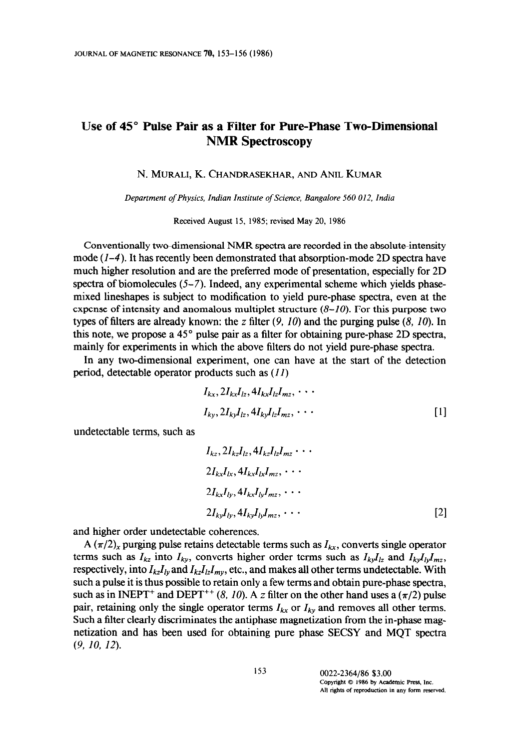## IJse of 45" Pulse Pair as a Filter for Pure-Phase Two-Dimensional NMR Spectroscopy

N. MURALI, K. CHANDRASEKHAR, AND ANIL KUMAR

Department of Physics, Indian Institute of Science, Bangalore 560 012, India

Received August 15, 1985; revised May 20, 1986

Conventionally two-dimensional NMR spectra are recorded in the absolute-intensity mode  $(1-4)$ . It has recently been demonstrated that absorption-mode 2D spectra have much higher resolution and are the preferred mode of presentation, especially for 2D spectra of biomolecules  $(5-7)$ . Indeed, any experimental scheme which yields phasemixed lineshapes is subject to modification to yield pure-phase spectra, even at the expense of intensity and anomalous multiplet structure  $(8-10)$ . For this purpose two types of filters are already known: the z filter  $(9, 10)$  and the purging pulse  $(8, 10)$ . In this note, we propose a 45" pulse pair as a filter for obtaining pure-phase 2D spectra, mainly for experiments in which the above filters do not yield pure-phase spectra.

In any two-dimensional experiment, one can have at the start of the detection period, detectable operator products such as  $(11)$ 

$$
I_{kx}, 2I_{kx}I_{lz}, 4I_{kx}I_{lz}I_{mz}, \cdots
$$
  
\n
$$
I_{ky}, 2I_{ky}I_{lz}, 4I_{ky}I_{lz}I_{mz}, \cdots
$$
\n[1]

undetectable terms, such as

$$
I_{kz}, 2I_{kz}I_{lz}, 4I_{kz}I_{lz}I_{mz} \cdots
$$
  
\n
$$
2I_{kx}I_{lx}, 4I_{kx}I_{lx}I_{mz}, \cdots
$$
  
\n
$$
2I_{kx}I_{ly}, 4I_{kx}I_{ly}I_{mz}, \cdots
$$
  
\n
$$
2I_{ky}I_{ly}, 4I_{ky}I_{ly}I_{mz}, \cdots
$$
\n[2]

and higher order undetectable coherences.

A  $(\pi/2)_x$  purging pulse retains detectable terms such as  $I_{kx}$ , converts single operator terms such as  $I_{kz}$  into  $I_{ky}$ , converts higher order terms such as  $I_{ky}I_{lz}$  and  $I_{ky}I_{ly}I_{mz}$ , respectively, into  $I_{kz}I_{lv}$  and  $I_{kz}I_{iz}I_{mv}$ , etc., and makes all other terms undetectable. With such a pulse it is thus possible to retain only a few terms and obtain pure-phase spectra, such as in INEPT<sup>+</sup> and DEPT<sup>++</sup> (8, 10). A z filter on the other hand uses a ( $\pi/2$ ) pulse pair, retaining only the single operator terms  $I_{kx}$  or  $I_{ky}$  and removes all other terms. Such a filter clearly discriminates the antiphase magnetization from the in-phase magnetization and has been used for obtaining pure phase SECSY and MQT spectra (9, IO, 12).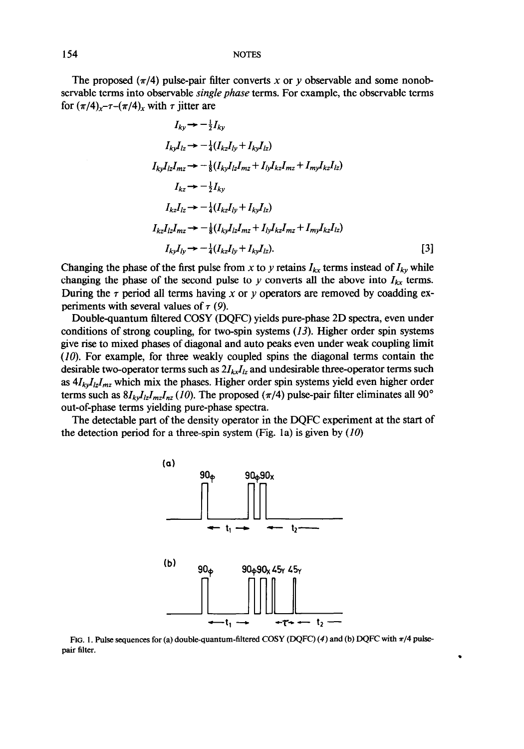154 NOTES

The proposed  $(\pi/4)$  pulse-pair filter converts x or y observable and some nonobservable terms into observable *single phase* terms. For example, the observable terms for  $(\pi/4)_x$ - $\tau$ - $(\pi/4)_x$  with  $\tau$  jitter are

$$
I_{ky} \rightarrow -\frac{1}{2} I_{ky}
$$
\n
$$
I_{ky} I_{lz} \rightarrow -\frac{1}{4} (I_{kz} I_{ly} + I_{ky} I_{lz})
$$
\n
$$
I_{ky} I_{lz} I_{mz} \rightarrow -\frac{1}{8} (I_{ky} I_{lz} I_{mz} + I_{ly} I_{kz} I_{mz} + I_{my} I_{kz} I_{lz})
$$
\n
$$
I_{kz} \rightarrow -\frac{1}{2} I_{ky}
$$
\n
$$
I_{kz} I_{lz} \rightarrow -\frac{1}{4} (I_{kz} I_{ly} + I_{ky} I_{lz})
$$
\n
$$
I_{kz} I_{iz} I_{mz} \rightarrow -\frac{1}{8} (I_{ky} I_{iz} I_{mz} + I_{ly} I_{kz} I_{mz} + I_{my} I_{kz} I_{iz})
$$
\n
$$
I_{ky} I_{ly} \rightarrow -\frac{1}{4} (I_{kz} I_{ly} + I_{ky} I_{iz}).
$$
\n
$$
[3]
$$

Changing the phase of the first pulse from x to y retains  $I_{kx}$  terms instead of  $I_{ky}$  while changing the phase of the second pulse to y converts all the above into  $I_{kx}$  terms. During the  $\tau$  period all terms having x or y operators are removed by coadding experiments with several values of  $\tau$  (9).

Double-quantum filtered COSY (DQFC) yields pure-phase 2D spectra, even under conditions of strong coupling, for two-spin systems  $(13)$ . Higher order spin systems give rise to mixed phases of diagonal and auto peaks even under weak coupling limit (10). For example, for three weakly coupled spins the diagonal terms contain the desirable two-operator terms such as  $2I_{kx}I_{lz}$  and undesirable three-operator terms such as  $4I_{kv}I_{iz}I_{mz}$  which mix the phases. Higher order spin systems yield even higher order terms such as  $8I_{ky}I_{iz}I_{mz}I_{nz}$  (10). The proposed ( $\pi/4$ ) pulse-pair filter eliminates all 90° out-of-phase terms yielding pure-phase spectra.

The detectable part of the density operator in the DQFC experiment at the start of the detection period for a three-spin system (Fig. 1a) is given by  $(10)$ 



FIG. 1. Pulse sequences for (a) double-quantum-filtered COSY (DQFC) (4) and (b) DQFC with  $\pi/4$  pulsepair filter.

.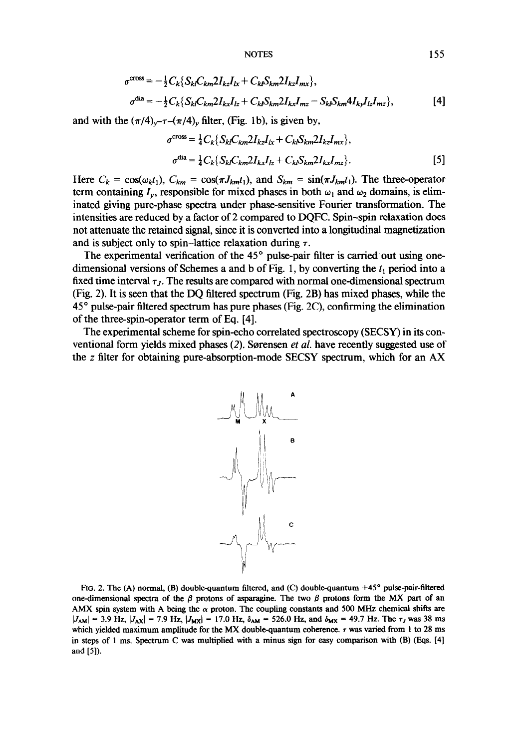NOTES 155

$$
\sigma^{\text{cross}} = -\frac{1}{2} C_k \{ S_{kl} C_{km} 2I_{kz} I_{lx} + C_{kl} S_{km} 2I_{kz} I_{mx} \},
$$
  
\n
$$
\sigma^{\text{dia}} = -\frac{1}{2} C_k \{ S_{kl} C_{km} 2I_{kx} I_{lz} + C_{kl} S_{km} 2I_{kx} I_{mz} - S_{kl} S_{km} 4I_{ky} I_{lz} I_{mz} \},
$$
\n[4]

and with the  $(\pi/4)_{\nu}$ - $\tau$ - $(\pi/4)_{\nu}$  filter, (Fig. 1b), is given by,

$$
\sigma^{\text{cross}} = \frac{1}{4} C_k \{ S_{kl} C_{km} 2 I_{kz} I_{lx} + C_{kl} S_{km} 2 I_{kz} I_{mx} \},
$$
  
\n
$$
\sigma^{\text{dia}} = \frac{1}{4} C_k \{ S_{kl} C_{km} 2 I_{kx} I_{lz} + C_{kl} S_{km} 2 I_{kx} I_{mz} \}.
$$
 [5]

Here  $C_k = \cos(\omega_k t_1)$ ,  $C_{km} = \cos(\pi J_{km} t_1)$ , and  $S_{km} = \sin(\pi J_{km} t_1)$ . The three-operator term containing  $I_{\nu}$ , responsible for mixed phases in both  $\omega_1$  and  $\omega_2$  domains, is eliminated giving pure-phase spectra under phase-sensitive Fourier transformation. The intensities are reduced by a factor of 2 compared to DQFC. Spin-spin relaxation does not attenuate the retained signal, since it is converted into a longitudinal magnetization and is subject only to spin-lattice relaxation during  $\tau$ .

The experimental verification of the  $45^{\circ}$  pulse-pair filter is carried out using onedimensional versions of Schemes a and b of Fig. 1, by converting the  $t_1$  period into a fixed time interval  $\tau_J$ . The results are compared with normal one-dimensional spectrum (Fig. 2). It is seen that the DQ filtered spectrum (Fig. 2B) has mixed phases, while the 45" pulse-pair filtered spectrum has pure phases (Fig. 2C), confirming the elimination of the three-spin-operator term of Eq. [4].

The experimental scheme for spin-echo correlated spectroscopy (SECSY) in its conventional form yields mixed phases (2). Sorensen et al. have recently suggested use of the z filter for obtaining pure-absorption-mode SECSY spectrum, which for an AX



FIG. 2. The (A) normal, (B) doublequantum filtered, and (C) doublequantum +45" pulse-pair-filtered one-dimensional spectra of the  $\beta$  protons of asparagine. The two  $\beta$  protons form the MX part of an AMX spin system with A being the  $\alpha$  proton. The coupling constants and 500 MHz chemical shifts are  $|J_{AM}| = 3.9$  Hz,  $|J_{AX}| = 7.9$  Hz,  $|J_{MX}| = 17.0$  Hz,  $\delta_{AM} = 526.0$  Hz, and  $\delta_{MX} = 49.7$  Hz. The  $\tau_J$  was 38 ms which yielded maximum amplitude for the MX double-quantum coherence.  $\tau$  was varied from 1 to 28 ms in steps of I ms. Spectrum C was multiplied with a minus sign for easy comparison with (B) (Eqs. [4] and [5]).